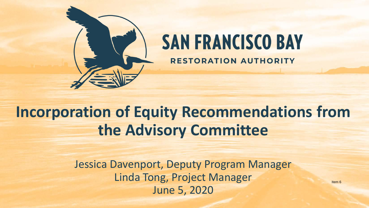

#### **SAN FRANCISCO BAY RESTORATION AUTHORITY**

### **Incorporation of Equity Recommendations from the Advisory Committee**

Jessica Davenport, Deputy Program Manager Linda Tong, Project Manager June 5, 2020

Item 6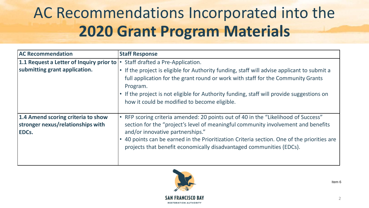## AC Recommendations Incorporated into the **2020 Grant Program Materials**

| <b>AC Recommendation</b>                                                                | <b>Staff Response</b>                                                                                                                                                                                                                                                                                                                                                              |
|-----------------------------------------------------------------------------------------|------------------------------------------------------------------------------------------------------------------------------------------------------------------------------------------------------------------------------------------------------------------------------------------------------------------------------------------------------------------------------------|
| 1.1 Request a Letter of Inquiry prior to $\cdot$                                        | Staff drafted a Pre-Application.                                                                                                                                                                                                                                                                                                                                                   |
| submitting grant application.                                                           | • If the project is eligible for Authority funding, staff will advise applicant to submit a<br>full application for the grant round or work with staff for the Community Grants<br>Program.<br>. If the project is not eligible for Authority funding, staff will provide suggestions on<br>how it could be modified to become eligible.                                           |
| 1.4 Amend scoring criteria to show<br>stronger nexus/relationships with<br><b>EDCs.</b> | • RFP scoring criteria amended: 20 points out of 40 in the "Likelihood of Success"<br>section for the "project's level of meaningful community involvement and benefits<br>and/or innovative partnerships."<br>• 40 points can be earned in the Prioritization Criteria section. One of the priorities are<br>projects that benefit economically disadvantaged communities (EDCs). |

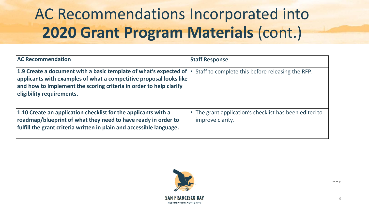## AC Recommendations Incorporated into **2020 Grant Program Materials** (cont.)

| <b>AC Recommendation</b>                                                                                                                                                                                                                         | <b>Staff Response</b>                                                      |
|--------------------------------------------------------------------------------------------------------------------------------------------------------------------------------------------------------------------------------------------------|----------------------------------------------------------------------------|
| 1.9 Create a document with a basic template of what's expected of  <br>$ $ applicants with examples of what a competitive proposal looks like<br>and how to implement the scoring criteria in order to help clarify<br>eligibility requirements. | Staff to complete this before releasing the RFP.                           |
| 1.10 Create an application checklist for the applicants with a<br>roadmap/blueprint of what they need to have ready in order to<br>fulfill the grant criteria written in plain and accessible language.                                          | • The grant application's checklist has been edited to<br>improve clarity. |



Item 6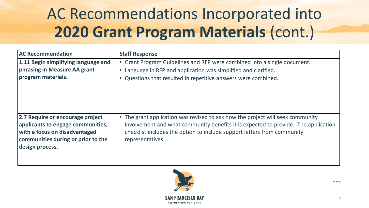## AC Recommendations Incorporated into **2020 Grant Program Materials** (cont.)

| <b>AC Recommendation</b>                                                                                                                                        | <b>Staff Response</b>                                                                                                                                                                                                                                               |
|-----------------------------------------------------------------------------------------------------------------------------------------------------------------|---------------------------------------------------------------------------------------------------------------------------------------------------------------------------------------------------------------------------------------------------------------------|
| 1.11 Begin simplifying language and<br>phrasing in Measure AA grant<br>program materials.                                                                       | Grant Program Guidelines and RFP were combined into a single document.<br>Language in RFP and application was simplified and clarified.<br>Questions that resulted in repetitive answers were combined.                                                             |
|                                                                                                                                                                 |                                                                                                                                                                                                                                                                     |
| 2.7 Require or encourage project<br>applicants to engage communities,<br>with a focus on disadvantaged<br>communities during or prior to the<br>design process. | • The grant application was revised to ask how the project will seek community<br>involvement and what community benefits it is expected to provide. The application<br>checklist includes the option to include support letters from community<br>representatives. |

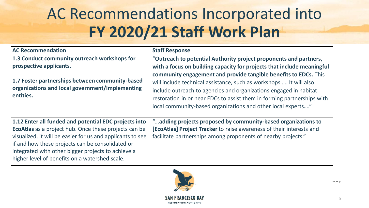#### AC Recommendations Incorporated into **FY 2020/21 Staff Work Plan**

| <b>AC Recommendation</b>                                                                                                                                                                                                                                                                                                                        | <b>Staff Response</b>                                                                                                                                                                                                                                                              |
|-------------------------------------------------------------------------------------------------------------------------------------------------------------------------------------------------------------------------------------------------------------------------------------------------------------------------------------------------|------------------------------------------------------------------------------------------------------------------------------------------------------------------------------------------------------------------------------------------------------------------------------------|
| 1.3 Conduct community outreach workshops for<br>prospective applicants.                                                                                                                                                                                                                                                                         | "Outreach to potential Authority project proponents and partners,<br>with a focus on building capacity for projects that include meaningful<br>community engagement and provide tangible benefits to EDCs. This                                                                    |
| 1.7 Foster partnerships between community-based<br>organizations and local government/implementing<br>entities.                                                                                                                                                                                                                                 | will include technical assistance, such as workshops  It will also<br>include outreach to agencies and organizations engaged in habitat<br>restoration in or near EDCs to assist them in forming partnerships with<br>local community-based organizations and other local experts" |
| 1.12 Enter all funded and potential EDC projects into<br><b>EcoAtlas</b> as a project hub. Once these projects can be<br>visualized, it will be easier for us and applicants to see<br>if and how these projects can be consolidated or<br>integrated with other bigger projects to achieve a<br>higher level of benefits on a watershed scale. | "adding projects proposed by community-based organizations to<br>[EcoAtlas] Project Tracker to raise awareness of their interests and<br>facilitate partnerships among proponents of nearby projects."                                                                             |

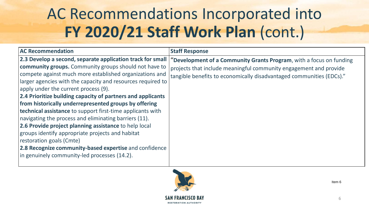#### AC Recommendations Incorporated into **FY 2020/21 Staff Work Plan** (cont.)

| <b>AC Recommendation</b>                                                                                                                                                                                                                                                                                                                                                                                                                                                                                                                                                                                                                                                                                                                                                                | <b>Staff Response</b>                                                                                                                                                                                            |
|-----------------------------------------------------------------------------------------------------------------------------------------------------------------------------------------------------------------------------------------------------------------------------------------------------------------------------------------------------------------------------------------------------------------------------------------------------------------------------------------------------------------------------------------------------------------------------------------------------------------------------------------------------------------------------------------------------------------------------------------------------------------------------------------|------------------------------------------------------------------------------------------------------------------------------------------------------------------------------------------------------------------|
| 2.3 Develop a second, separate application track for small<br>community groups. Community groups should not have to<br>compete against much more established organizations and<br>larger agencies with the capacity and resources required to<br>apply under the current process (9).<br>2.4 Prioritize building capacity of partners and applicants<br>from historically underrepresented groups by offering<br>technical assistance to support first-time applicants with<br>navigating the process and eliminating barriers (11).<br>2.6 Provide project planning assistance to help local<br>groups identify appropriate projects and habitat<br>restoration goals (Cmte)<br>2.8 Recognize community-based expertise and confidence<br>in genuinely community-led processes (14.2). | "Development of a Community Grants Program, with a focus on funding<br>projects that include meaningful community engagement and provide<br>tangible benefits to economically disadvantaged communities (EDCs)." |



RESTORATION AUTHORITY